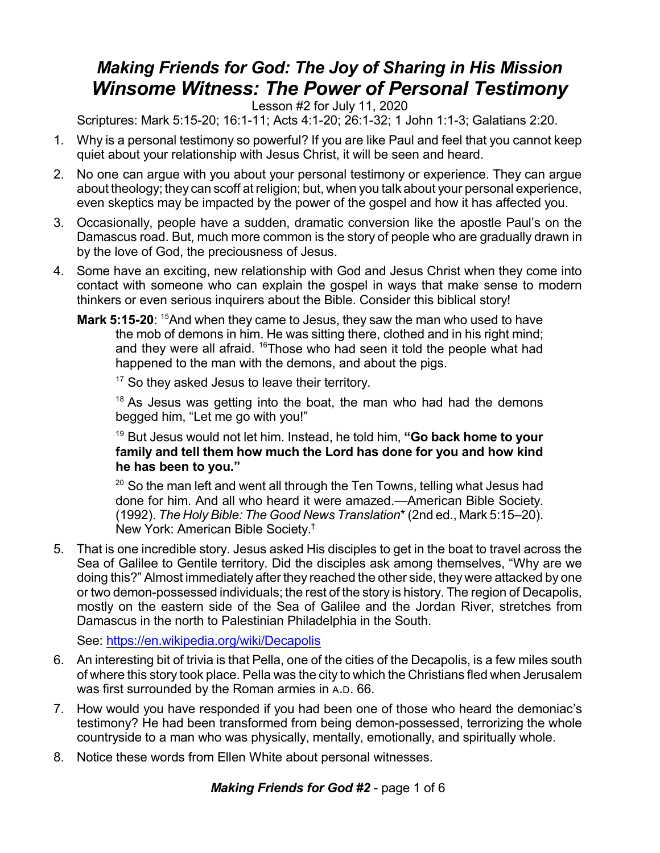## *Making Friends for God: The Joy of Sharing in His Mission Winsome Witness: The Power of Personal Testimony*

Lesson #2 for July 11, 2020

Scriptures: Mark 5:15-20; 16:1-11; Acts 4:1-20; 26:1-32; 1 John 1:1-3; Galatians 2:20.

- 1. Why is a personal testimony so powerful? If you are like Paul and feel that you cannot keep quiet about your relationship with Jesus Christ, it will be seen and heard.
- 2. No one can argue with you about your personal testimony or experience. They can argue about theology; they can scoff at religion; but, when you talk about your personal experience, even skeptics may be impacted by the power of the gospel and how it has affected you.
- 3. Occasionally, people have a sudden, dramatic conversion like the apostle Paul's on the Damascus road. But, much more common is the story of people who are gradually drawn in by the love of God, the preciousness of Jesus.
- 4. Some have an exciting, new relationship with God and Jesus Christ when they come into contact with someone who can explain the gospel in ways that make sense to modern thinkers or even serious inquirers about the Bible. Consider this biblical story!
	- **Mark 5:15-20**: <sup>15</sup>And when they came to Jesus, they saw the man who used to have the mob of demons in him. He was sitting there, clothed and in his right mind; and they were all afraid. <sup>16</sup>Those who had seen it told the people what had happened to the man with the demons, and about the pigs.

<sup>17</sup> So they asked Jesus to leave their territory.

 $18$  As Jesus was getting into the boat, the man who had had the demons begged him, "Let me go with you!"

<sup>19</sup> But Jesus would not let him. Instead, he told him, **"Go back home to your family and tell them how much the Lord has done for you and how kind he has been to you."**

 $20$  So the man left and went all through the Ten Towns, telling what Jesus had done for him. And all who heard it were amazed.—American Bible Society. (1992). *The Holy Bible: The Good News Translation*\*(2nd ed., Mark 5:15–20). New York: American Bible Society. †

5. That is one incredible story. Jesus asked His disciples to get in the boat to travel across the Sea of Galilee to Gentile territory. Did the disciples ask among themselves, "Why are we doing this?" Almost immediately after they reached the other side, they were attacked by one or two demon-possessed individuals; the rest of the story is history. The region of Decapolis, mostly on the eastern side of the Sea of Galilee and the Jordan River, stretches from Damascus in the north to Palestinian Philadelphia in the South.

See: <https://en.wikipedia.org/wiki/Decapolis>

- 6. An interesting bit of trivia is that Pella, one of the cities of the Decapolis, is a few miles south of where this story took place. Pella was the city to which the Christians fled when Jerusalem was first surrounded by the Roman armies in A.D. 66.
- 7. How would you have responded if you had been one of those who heard the demoniac's testimony? He had been transformed from being demon-possessed, terrorizing the whole countryside to a man who was physically, mentally, emotionally, and spiritually whole.
- 8. Notice these words from Ellen White about personal witnesses.

*Making Friends for God #2* - page 1 of 6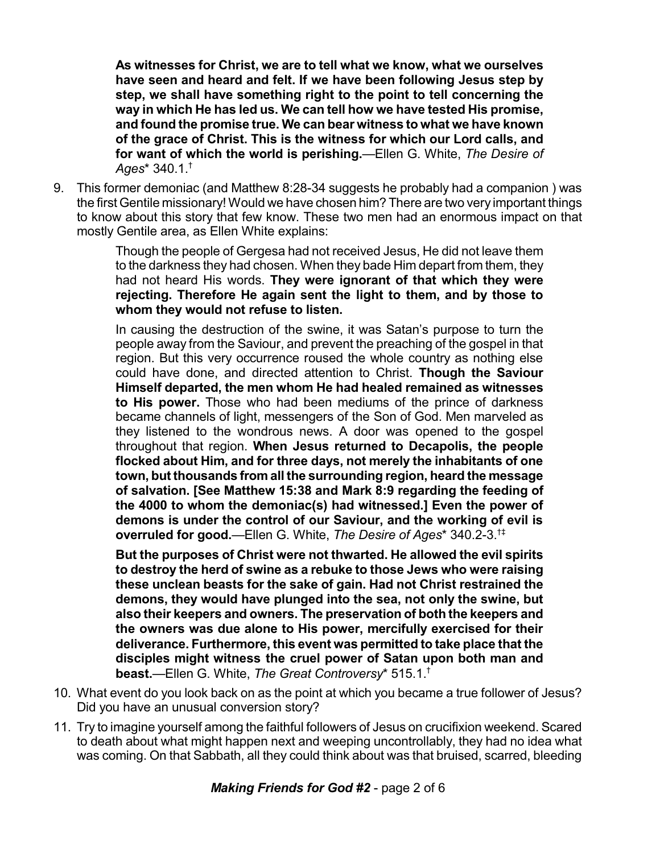**As witnesses for Christ, we are to tell what we know, what we ourselves have seen and heard and felt. If we have been following Jesus step by step, we shall have something right to the point to tell concerning the way in which He has led us. We can tell how we have tested His promise, and found the promise true. We can bear witness to what we have known of the grace of Christ. This is the witness for which our Lord calls, and for want of which the world is perishing.**—Ellen G. White, *The Desire of Ages*\* 340.1. †

9. This former demoniac (and Matthew 8:28-34 suggests he probably had a companion ) was the first Gentile missionary! Would we have chosen him? There are two very important things to know about this story that few know. These two men had an enormous impact on that mostly Gentile area, as Ellen White explains:

> Though the people of Gergesa had not received Jesus, He did not leave them to the darkness they had chosen. When they bade Him depart from them, they had not heard His words. **They were ignorant of that which they were rejecting. Therefore He again sent the light to them, and by those to whom they would not refuse to listen.**

> In causing the destruction of the swine, it was Satan's purpose to turn the people away from the Saviour, and prevent the preaching of the gospel in that region. But this very occurrence roused the whole country as nothing else could have done, and directed attention to Christ. **Though the Saviour Himself departed, the men whom He had healed remained as witnesses to His power.** Those who had been mediums of the prince of darkness became channels of light, messengers of the Son of God. Men marveled as they listened to the wondrous news. A door was opened to the gospel throughout that region. **When Jesus returned to Decapolis, the people flocked about Him, and for three days, not merely the inhabitants of one town, but thousands from all the surrounding region, heard the message of salvation. [See Matthew 15:38 and Mark 8:9 regarding the feeding of the 4000 to whom the demoniac(s) had witnessed.] Even the power of demons is under the control of our Saviour, and the working of evil is overruled for good.**—Ellen G. White, *The Desire of Ages*\* 340.2-3. †‡

> **But the purposes of Christ were not thwarted. He allowed the evil spirits to destroy the herd of swine as a rebuke to those Jews who were raising these unclean beasts for the sake of gain. Had not Christ restrained the demons, they would have plunged into the sea, not only the swine, but also their keepers and owners. The preservation of both the keepers and the owners was due alone to His power, mercifully exercised for their deliverance. Furthermore, this event was permitted to take place that the disciples might witness the cruel power of Satan upon both man and beast.**—Ellen G. White, *The Great Controversy*\* 515.1. †

- 10. What event do you look back on as the point at which you became a true follower of Jesus? Did you have an unusual conversion story?
- 11. Try to imagine yourself among the faithful followers of Jesus on crucifixion weekend. Scared to death about what might happen next and weeping uncontrollably, they had no idea what was coming. On that Sabbath, all they could think about was that bruised, scarred, bleeding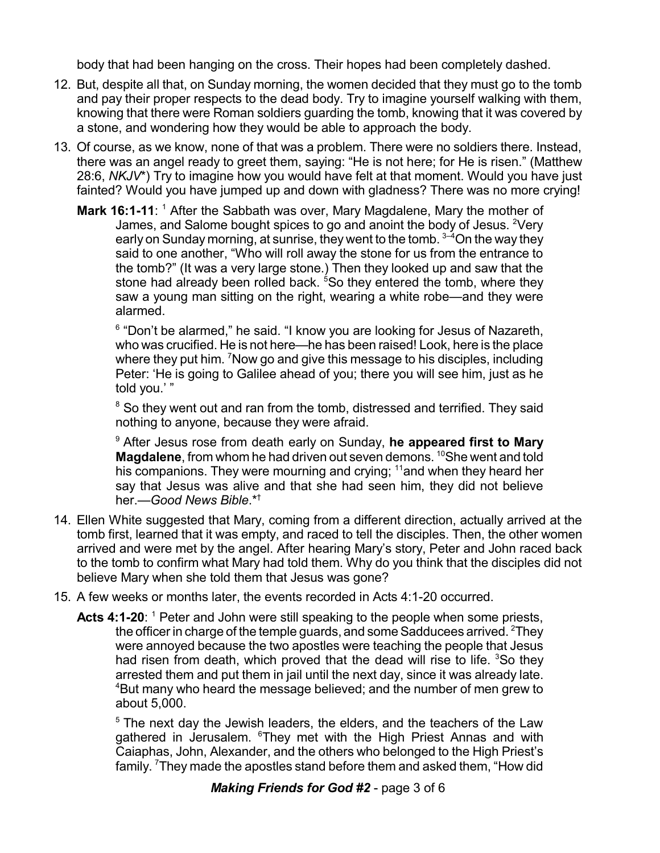body that had been hanging on the cross. Their hopes had been completely dashed.

- 12. But, despite all that, on Sunday morning, the women decided that they must go to the tomb and pay their proper respects to the dead body. Try to imagine yourself walking with them, knowing that there were Roman soldiers guarding the tomb, knowing that it was covered by a stone, and wondering how they would be able to approach the body.
- 13. Of course, as we know, none of that was a problem. There were no soldiers there. Instead, there was an angel ready to greet them, saying: "He is not here; for He is risen." (Matthew 28:6, *NKJV*\*) Try to imagine how you would have felt at that moment. Would you have just fainted? Would you have jumped up and down with gladness? There was no more crying!
	- Mark 16:1-11: <sup>1</sup> After the Sabbath was over, Mary Magdalene, Mary the mother of James, and Salome bought spices to go and anoint the body of Jesus. <sup>2</sup>Very early on Sunday morning, at sunrise, they went to the tomb.  $^{3-4}$ On the way they said to one another, "Who will roll away the stone for us from the entrance to the tomb?" (It was a very large stone.) Then they looked up and saw that the stone had already been rolled back. <sup>5</sup>So they entered the tomb, where they saw a young man sitting on the right, wearing a white robe—and they were alarmed.

<sup>6</sup> "Don't be alarmed," he said. "I know you are looking for Jesus of Nazareth, who was crucified. He is not here—he has been raised! Look, here is the place where they put him. <sup>7</sup>Now go and give this message to his disciples, including Peter: 'He is going to Galilee ahead of you; there you will see him, just as he told you.' "

<sup>8</sup> So they went out and ran from the tomb, distressed and terrified. They said nothing to anyone, because they were afraid.

<sup>9</sup> After Jesus rose from death early on Sunday, **he appeared first to Mary Magdalene**, from whom he had driven out seven demons. <sup>10</sup>She went and told his companions. They were mourning and crying; <sup>11</sup>and when they heard her say that Jesus was alive and that she had seen him, they did not believe her.—*Good News Bible*.\* †

- 14. Ellen White suggested that Mary, coming from a different direction, actually arrived at the tomb first, learned that it was empty, and raced to tell the disciples. Then, the other women arrived and were met by the angel. After hearing Mary's story, Peter and John raced back to the tomb to confirm what Mary had told them. Why do you think that the disciples did not believe Mary when she told them that Jesus was gone?
- 15. A few weeks or months later, the events recorded in Acts 4:1-20 occurred.
	- Acts 4:1-20: <sup>1</sup> Peter and John were still speaking to the people when some priests, the officer in charge of the temple guards, and some Sadducees arrived.  $^{2}$ They were annoyed because the two apostles were teaching the people that Jesus had risen from death, which proved that the dead will rise to life. <sup>3</sup>So they arrested them and put them in jail until the next day, since it was already late. <sup>4</sup>But many who heard the message believed; and the number of men grew to about 5,000.

 $5$  The next day the Jewish leaders, the elders, and the teachers of the Law gathered in Jerusalem. <sup>6</sup>They met with the High Priest Annas and with Caiaphas, John, Alexander, and the others who belonged to the High Priest's family. <sup>7</sup>They made the apostles stand before them and asked them, "How did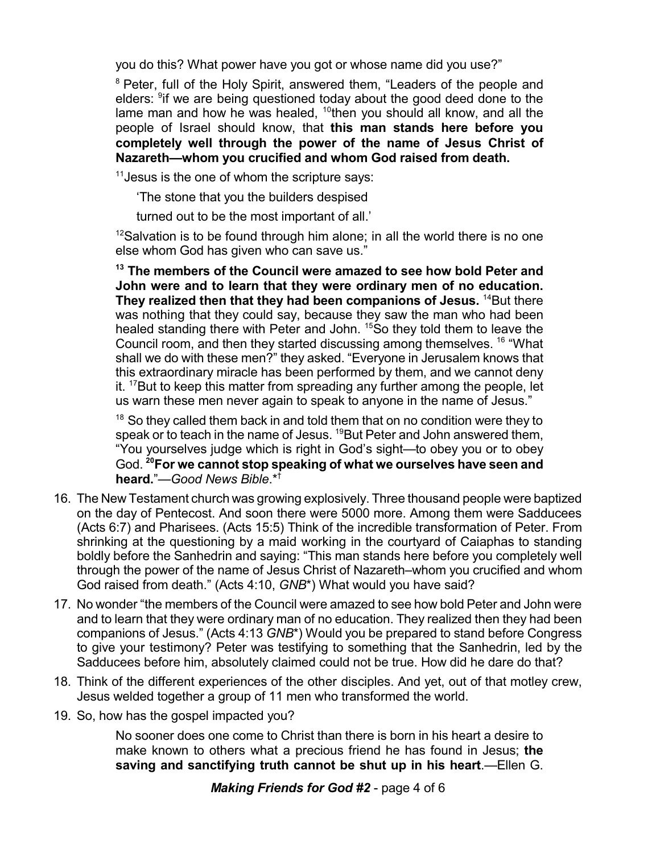you do this? What power have you got or whose name did you use?"

<sup>8</sup> Peter, full of the Holy Spirit, answered them, "Leaders of the people and elders: <sup>9</sup>if we are being questioned today about the good deed done to the lame man and how he was healed,  $^{10}$ then you should all know, and all the people of Israel should know, that **this man stands here before you completely well through the power of the name of Jesus Christ of Nazareth—whom you crucified and whom God raised from death.**

<sup>11</sup> Jesus is the one of whom the scripture says:

'The stone that you the builders despised

turned out to be the most important of all.'

 $12$ Salvation is to be found through him alone; in all the world there is no one else whom God has given who can save us."

**<sup>13</sup> The members of the Council were amazed to see how bold Peter and John were and to learn that they were ordinary men of no education. They realized then that they had been companions of Jesus.** <sup>14</sup>But there was nothing that they could say, because they saw the man who had been healed standing there with Peter and John. <sup>15</sup>So they told them to leave the Council room, and then they started discussing among themselves. <sup>16</sup> "What shall we do with these men?" they asked. "Everyone in Jerusalem knows that this extraordinary miracle has been performed by them, and we cannot deny it. <sup>17</sup>But to keep this matter from spreading any further among the people, let us warn these men never again to speak to anyone in the name of Jesus."

 $18$  So they called them back in and told them that on no condition were they to speak or to teach in the name of Jesus. <sup>19</sup>But Peter and John answered them, "You yourselves judge which is right in God's sight—to obey you or to obey God. **<sup>20</sup>For we cannot stop speaking of what we ourselves have seen and heard.**"—*Good News Bible*.\* †

- 16. The New Testament church was growing explosively. Three thousand people were baptized on the day of Pentecost. And soon there were 5000 more. Among them were Sadducees (Acts 6:7) and Pharisees. (Acts 15:5) Think of the incredible transformation of Peter. From shrinking at the questioning by a maid working in the courtyard of Caiaphas to standing boldly before the Sanhedrin and saying: "This man stands here before you completely well through the power of the name of Jesus Christ of Nazareth–whom you crucified and whom God raised from death." (Acts 4:10, *GNB*\*) What would you have said?
- 17. No wonder "the members of the Council were amazed to see how bold Peter and John were and to learn that they were ordinary man of no education. They realized then they had been companions of Jesus." (Acts 4:13 *GNB*\*) Would you be prepared to stand before Congress to give your testimony? Peter was testifying to something that the Sanhedrin, led by the Sadducees before him, absolutely claimed could not be true. How did he dare do that?
- 18. Think of the different experiences of the other disciples. And yet, out of that motley crew, Jesus welded together a group of 11 men who transformed the world.
- 19. So, how has the gospel impacted you?

No sooner does one come to Christ than there is born in his heart a desire to make known to others what a precious friend he has found in Jesus; **the saving and sanctifying truth cannot be shut up in his heart**.—Ellen G.

*Making Friends for God #2* - page 4 of 6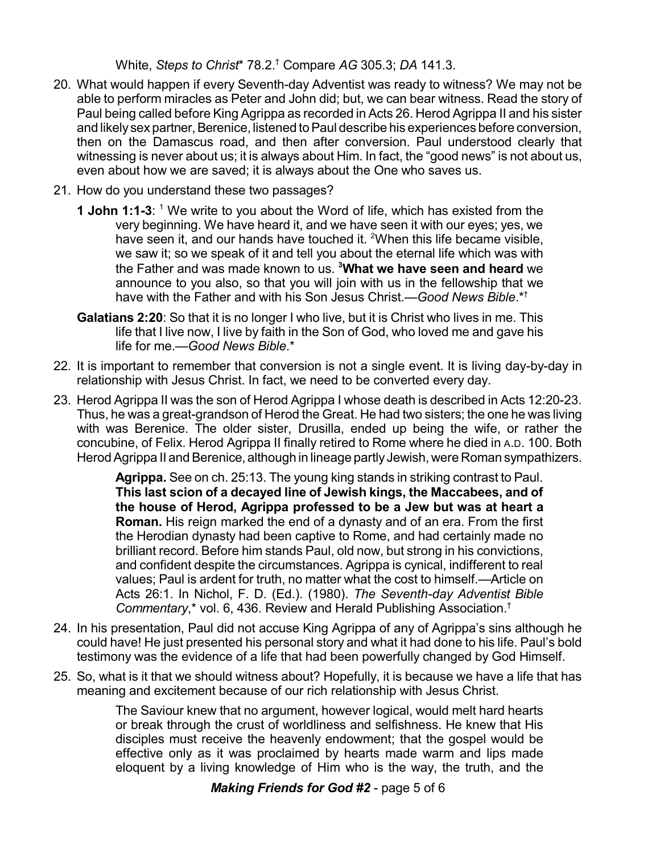White, *Steps to Christ*\* 78.2. † Compare *AG* 305.3; *DA* 141.3.

- 20. What would happen if every Seventh-day Adventist was ready to witness? We may not be able to perform miracles as Peter and John did; but, we can bear witness. Read the story of Paul being called before King Agrippa as recorded in Acts 26. Herod Agrippa II and his sister and likely sex partner, Berenice, listened to Paul describe his experiences before conversion, then on the Damascus road, and then after conversion. Paul understood clearly that witnessing is never about us; it is always about Him. In fact, the "good news" is not about us, even about how we are saved; it is always about the One who saves us.
- 21. How do you understand these two passages?
	- **1 John 1:1-3**: <sup>1</sup> We write to you about the Word of life, which has existed from the very beginning. We have heard it, and we have seen it with our eyes; yes, we have seen it, and our hands have touched it. <sup>2</sup>When this life became visible, we saw it; so we speak of it and tell you about the eternal life which was with the Father and was made known to us. **<sup>3</sup>What we have seen and heard** we announce to you also, so that you will join with us in the fellowship that we have with the Father and with his Son Jesus Christ.—*Good News Bible*.\* †
	- **Galatians 2:20**: So that it is no longer I who live, but it is Christ who lives in me. This life that I live now, I live by faith in the Son of God, who loved me and gave his life for me.—*Good News Bible*.\*
- 22. It is important to remember that conversion is not a single event. It is living day-by-day in relationship with Jesus Christ. In fact, we need to be converted every day.
- 23. Herod Agrippa II was the son of Herod Agrippa I whose death is described in Acts 12:20-23. Thus, he was a great-grandson of Herod the Great. He had two sisters; the one he was living with was Berenice. The older sister, Drusilla, ended up being the wife, or rather the concubine, of Felix. Herod Agrippa II finally retired to Rome where he died in A.D. 100. Both Herod Agrippa II and Berenice, although in lineage partly Jewish, were Roman sympathizers.

**Agrippa.** See on ch. 25:13. The young king stands in striking contrast to Paul. **This last scion of a decayed line of Jewish kings, the Maccabees, and of the house of Herod, Agrippa professed to be a Jew but was at heart a Roman.** His reign marked the end of a dynasty and of an era. From the first the Herodian dynasty had been captive to Rome, and had certainly made no brilliant record. Before him stands Paul, old now, but strong in his convictions, and confident despite the circumstances. Agrippa is cynical, indifferent to real values; Paul is ardent for truth, no matter what the cost to himself.—Article on Acts 26:1. In Nichol, F. D. (Ed.). (1980). *The Seventh-day Adventist Bible Commentary*,\* vol. 6, 436. Review and Herald Publishing Association. †

- 24. In his presentation, Paul did not accuse King Agrippa of any of Agrippa's sins although he could have! He just presented his personal story and what it had done to his life. Paul's bold testimony was the evidence of a life that had been powerfully changed by God Himself.
- 25. So, what is it that we should witness about? Hopefully, it is because we have a life that has meaning and excitement because of our rich relationship with Jesus Christ.

The Saviour knew that no argument, however logical, would melt hard hearts or break through the crust of worldliness and selfishness. He knew that His disciples must receive the heavenly endowment; that the gospel would be effective only as it was proclaimed by hearts made warm and lips made eloquent by a living knowledge of Him who is the way, the truth, and the

*Making Friends for God #2* - page 5 of 6